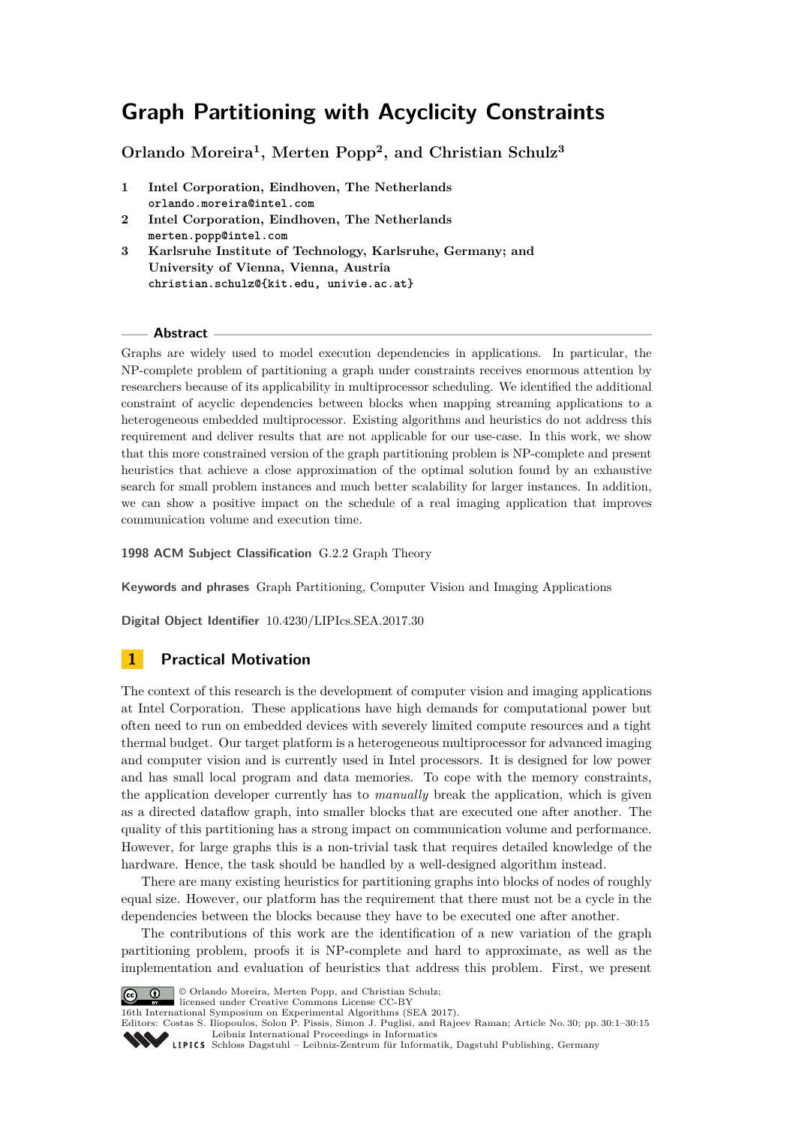# **Graph Partitioning with Acyclicity Constraints**

**Orlando Moreira<sup>1</sup> , Merten Popp<sup>2</sup> , and Christian Schulz<sup>3</sup>**

- **1 Intel Corporation, Eindhoven, The Netherlands orlando.moreira@intel.com**
- **2 Intel Corporation, Eindhoven, The Netherlands merten.popp@intel.com**
- **3 Karlsruhe Institute of Technology, Karlsruhe, Germany; and University of Vienna, Vienna, Austria christian.schulz@{kit.edu, univie.ac.at}**

### **Abstract**

Graphs are widely used to model execution dependencies in applications. In particular, the NP-complete problem of partitioning a graph under constraints receives enormous attention by researchers because of its applicability in multiprocessor scheduling. We identified the additional constraint of acyclic dependencies between blocks when mapping streaming applications to a heterogeneous embedded multiprocessor. Existing algorithms and heuristics do not address this requirement and deliver results that are not applicable for our use-case. In this work, we show that this more constrained version of the graph partitioning problem is NP-complete and present heuristics that achieve a close approximation of the optimal solution found by an exhaustive search for small problem instances and much better scalability for larger instances. In addition, we can show a positive impact on the schedule of a real imaging application that improves communication volume and execution time.

**1998 ACM Subject Classification** G.2.2 Graph Theory

**Keywords and phrases** Graph Partitioning, Computer Vision and Imaging Applications

**Digital Object Identifier** [10.4230/LIPIcs.SEA.2017.30](http://dx.doi.org/10.4230/LIPIcs.SEA.2017.30)

# **1 Practical Motivation**

The context of this research is the development of computer vision and imaging applications at Intel Corporation. These applications have high demands for computational power but often need to run on embedded devices with severely limited compute resources and a tight thermal budget. Our target platform is a heterogeneous multiprocessor for advanced imaging and computer vision and is currently used in Intel processors. It is designed for low power and has small local program and data memories. To cope with the memory constraints, the application developer currently has to *manually* break the application, which is given as a directed dataflow graph, into smaller blocks that are executed one after another. The quality of this partitioning has a strong impact on communication volume and performance. However, for large graphs this is a non-trivial task that requires detailed knowledge of the hardware. Hence, the task should be handled by a well-designed algorithm instead.

There are many existing heuristics for partitioning graphs into blocks of nodes of roughly equal size. However, our platform has the requirement that there must not be a cycle in the dependencies between the blocks because they have to be executed one after another.

The contributions of this work are the identification of a new variation of the graph partitioning problem, proofs it is NP-complete and hard to approximate, as well as the implementation and evaluation of heuristics that address this problem. First, we present



licensed under Creative Commons License CC-BY 16th International Symposium on Experimental Algorithms (SEA 2017).

Editors: Costas S. Iliopoulos, Solon P. Pissis, Simon J. Puglisi, and Rajeev Raman; Article No. 30; pp. 30:1–30[:15](#page-14-0)

[Leibniz International Proceedings in Informatics](http://www.dagstuhl.de/lipics/)

[Schloss Dagstuhl – Leibniz-Zentrum für Informatik, Dagstuhl Publishing, Germany](http://www.dagstuhl.de)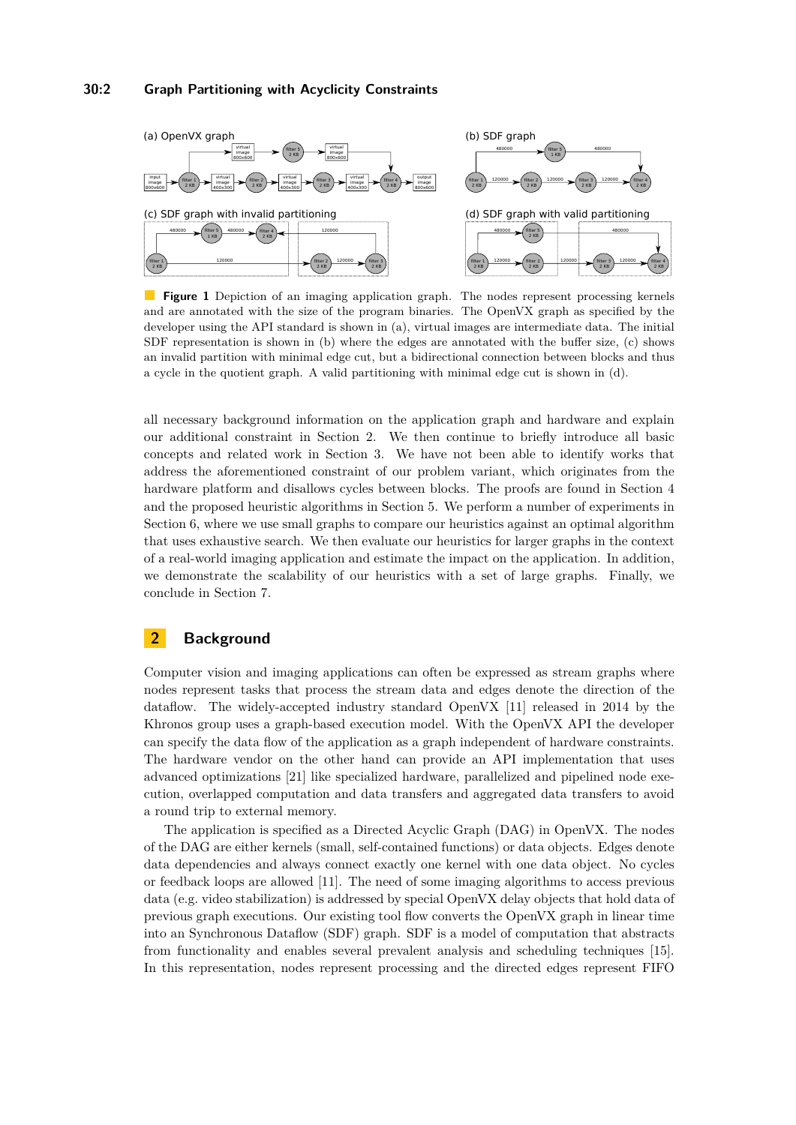### **30:2 Graph Partitioning with Acyclicity Constraints**

<span id="page-1-1"></span>

**Figure 1** Depiction of an imaging application graph. The nodes represent processing kernels and are annotated with the size of the program binaries. The OpenVX graph as specified by the developer using the API standard is shown in (a), virtual images are intermediate data. The initial SDF representation is shown in (b) where the edges are annotated with the buffer size, (c) shows an invalid partition with minimal edge cut, but a bidirectional connection between blocks and thus a cycle in the quotient graph. A valid partitioning with minimal edge cut is shown in (d).

all necessary background information on the application graph and hardware and explain our additional constraint in Section [2.](#page-1-0) We then continue to briefly introduce all basic concepts and related work in Section [3.](#page-2-0) We have not been able to identify works that address the aforementioned constraint of our problem variant, which originates from the hardware platform and disallows cycles between blocks. The proofs are found in Section [4](#page-4-0) and the proposed heuristic algorithms in Section [5.](#page-5-0) We perform a number of experiments in Section [6,](#page-9-0) where we use small graphs to compare our heuristics against an optimal algorithm that uses exhaustive search. We then evaluate our heuristics for larger graphs in the context of a real-world imaging application and estimate the impact on the application. In addition, we demonstrate the scalability of our heuristics with a set of large graphs. Finally, we conclude in Section [7.](#page-12-0)

# <span id="page-1-0"></span>**2 Background**

Computer vision and imaging applications can often be expressed as stream graphs where nodes represent tasks that process the stream data and edges denote the direction of the dataflow. The widely-accepted industry standard OpenVX [\[11\]](#page-13-0) released in 2014 by the Khronos group uses a graph-based execution model. With the OpenVX API the developer can specify the data flow of the application as a graph independent of hardware constraints. The hardware vendor on the other hand can provide an API implementation that uses advanced optimizations [\[21\]](#page-13-1) like specialized hardware, parallelized and pipelined node execution, overlapped computation and data transfers and aggregated data transfers to avoid a round trip to external memory.

The application is specified as a Directed Acyclic Graph (DAG) in OpenVX. The nodes of the DAG are either kernels (small, self-contained functions) or data objects. Edges denote data dependencies and always connect exactly one kernel with one data object. No cycles or feedback loops are allowed [\[11\]](#page-13-0). The need of some imaging algorithms to access previous data (e.g. video stabilization) is addressed by special OpenVX delay objects that hold data of previous graph executions. Our existing tool flow converts the OpenVX graph in linear time into an Synchronous Dataflow (SDF) graph. SDF is a model of computation that abstracts from functionality and enables several prevalent analysis and scheduling techniques [\[15\]](#page-13-2). In this representation, nodes represent processing and the directed edges represent FIFO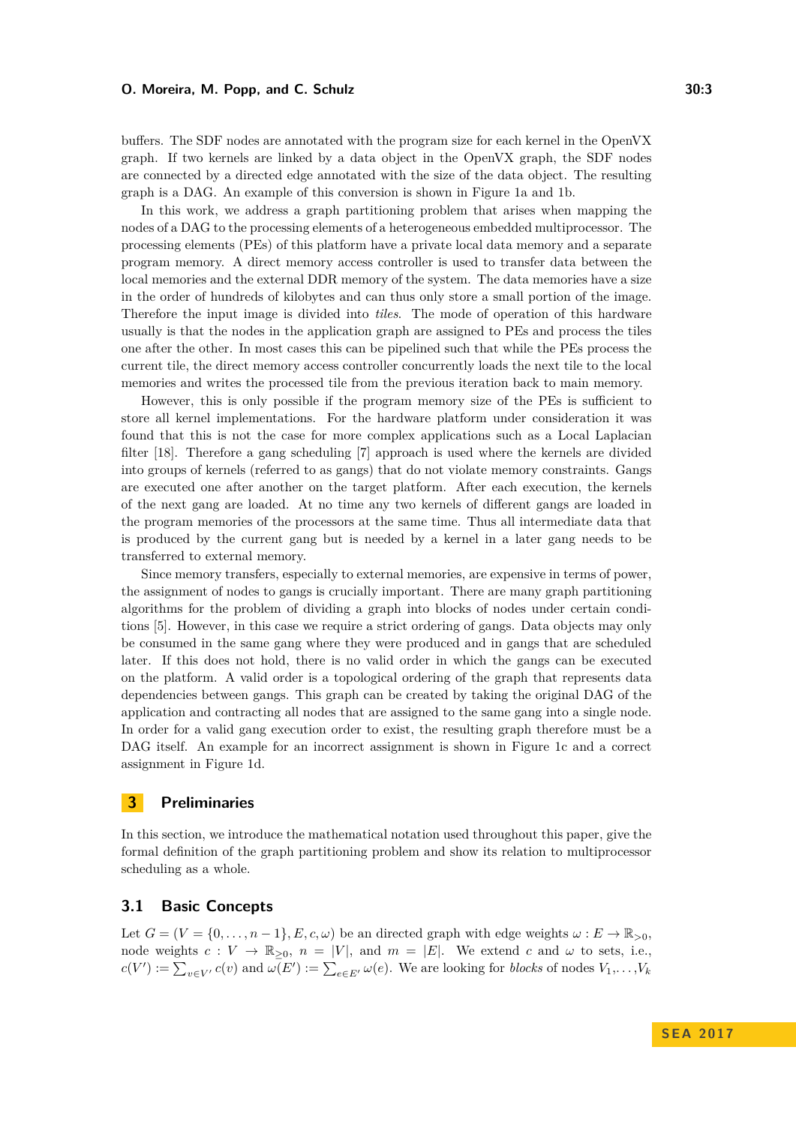#### **O. Moreira, M. Popp, and C. Schulz 30:3 30:3 30:3**

buffers. The SDF nodes are annotated with the program size for each kernel in the OpenVX graph. If two kernels are linked by a data object in the OpenVX graph, the SDF nodes are connected by a directed edge annotated with the size of the data object. The resulting graph is a DAG. An example of this conversion is shown in Figure [1a](#page-1-1) and [1b](#page-1-1).

In this work, we address a graph partitioning problem that arises when mapping the nodes of a DAG to the processing elements of a heterogeneous embedded multiprocessor. The processing elements (PEs) of this platform have a private local data memory and a separate program memory. A direct memory access controller is used to transfer data between the local memories and the external DDR memory of the system. The data memories have a size in the order of hundreds of kilobytes and can thus only store a small portion of the image. Therefore the input image is divided into *tiles*. The mode of operation of this hardware usually is that the nodes in the application graph are assigned to PEs and process the tiles one after the other. In most cases this can be pipelined such that while the PEs process the current tile, the direct memory access controller concurrently loads the next tile to the local memories and writes the processed tile from the previous iteration back to main memory.

However, this is only possible if the program memory size of the PEs is sufficient to store all kernel implementations. For the hardware platform under consideration it was found that this is not the case for more complex applications such as a Local Laplacian filter [\[18\]](#page-13-3). Therefore a gang scheduling [\[7\]](#page-13-4) approach is used where the kernels are divided into groups of kernels (referred to as gangs) that do not violate memory constraints. Gangs are executed one after another on the target platform. After each execution, the kernels of the next gang are loaded. At no time any two kernels of different gangs are loaded in the program memories of the processors at the same time. Thus all intermediate data that is produced by the current gang but is needed by a kernel in a later gang needs to be transferred to external memory.

Since memory transfers, especially to external memories, are expensive in terms of power, the assignment of nodes to gangs is crucially important. There are many graph partitioning algorithms for the problem of dividing a graph into blocks of nodes under certain conditions [\[5\]](#page-13-5). However, in this case we require a strict ordering of gangs. Data objects may only be consumed in the same gang where they were produced and in gangs that are scheduled later. If this does not hold, there is no valid order in which the gangs can be executed on the platform. A valid order is a topological ordering of the graph that represents data dependencies between gangs. This graph can be created by taking the original DAG of the application and contracting all nodes that are assigned to the same gang into a single node. In order for a valid gang execution order to exist, the resulting graph therefore must be a DAG itself. An example for an incorrect assignment is shown in Figure [1c](#page-1-1) and a correct assignment in Figure [1d](#page-1-1).

### <span id="page-2-0"></span>**3 Preliminaries**

In this section, we introduce the mathematical notation used throughout this paper, give the formal definition of the graph partitioning problem and show its relation to multiprocessor scheduling as a whole.

# **3.1 Basic Concepts**

Let  $G = (V = \{0, \ldots, n-1\}, E, c, \omega)$  be an directed graph with edge weights  $\omega : E \to \mathbb{R}_{>0}$ , node weights  $c: V \to \mathbb{R}_{\geq 0}$ ,  $n = |V|$ , and  $m = |E|$ . We extend  $c$  and  $\omega$  to sets, i.e.,  $c(V') := \sum_{v \in V'} c(v)$  and  $\omega(E') := \sum_{e \in E'} \omega(e)$ . We are looking for *blocks* of nodes  $V_1, \ldots, V_k$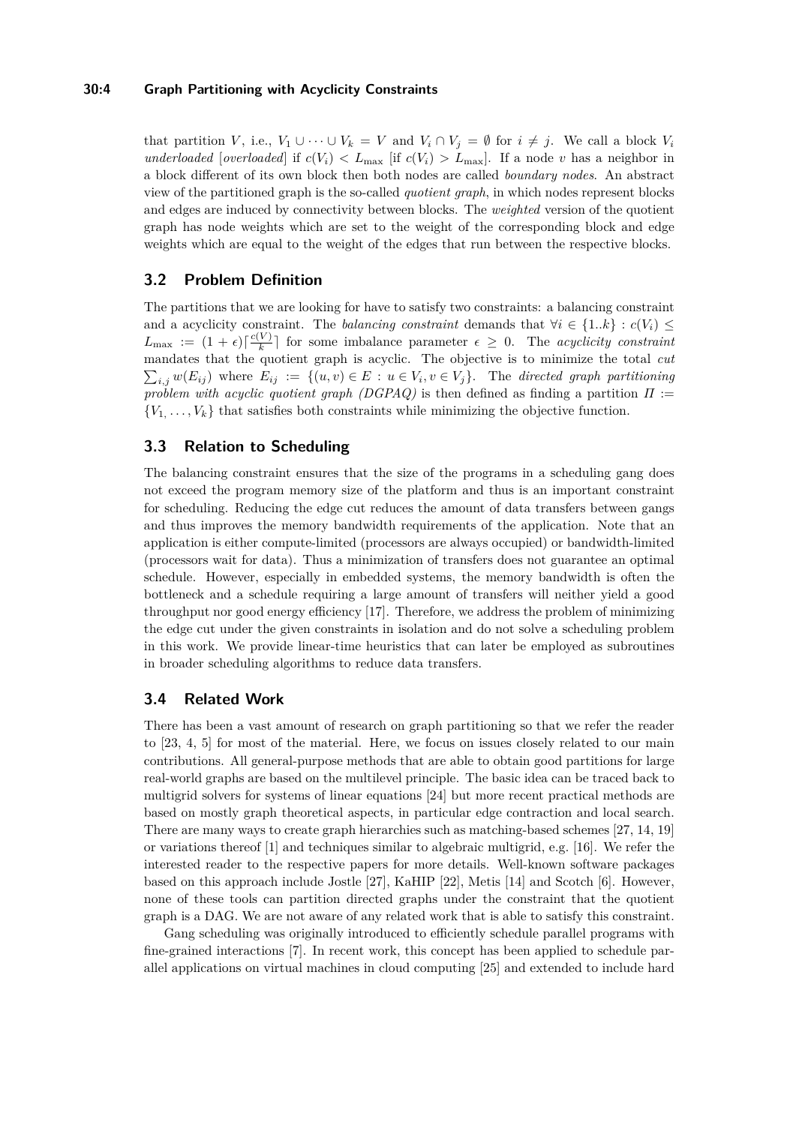### **30:4 Graph Partitioning with Acyclicity Constraints**

that partition *V*, i.e.,  $V_1 \cup \cdots \cup V_k = V$  and  $V_i \cap V_j = \emptyset$  for  $i \neq j$ . We call a block  $V_i$ *underloaded* [*overloaded*] if  $c(V_i) < L_{\text{max}}$  [if  $c(V_i) > L_{\text{max}}$ ]. If a node *v* has a neighbor in a block different of its own block then both nodes are called *boundary nodes*. An abstract view of the partitioned graph is the so-called *quotient graph*, in which nodes represent blocks and edges are induced by connectivity between blocks. The *weighted* version of the quotient graph has node weights which are set to the weight of the corresponding block and edge weights which are equal to the weight of the edges that run between the respective blocks.

# **3.2 Problem Definition**

The partitions that we are looking for have to satisfy two constraints: a balancing constraint and a acyclicity constraint. The *balancing constraint* demands that  $\forall i \in \{1..k\} : c(V_i) \leq$  $L_{\text{max}} := (1 + \epsilon) \lceil \frac{c(V)}{k} \rceil$  $\left\lfloor \frac{V}{k} \right\rfloor$  for some imbalance parameter  $\epsilon \geq 0$ . The *acyclicity constraint* mandates that the quotient graph is acyclic. The objective is to minimize the total *cut*  $\sum_{i,j} w(E_{ij})$  where  $E_{ij} := \{(u, v) \in E : u \in V_i, v \in V_j\}$ . The *directed graph partitioning problem with acyclic quotient graph (DGPAQ)* is then defined as finding a partition *Π* :=  ${V_1, \ldots, V_k}$  that satisfies both constraints while minimizing the objective function.

# **3.3 Relation to Scheduling**

The balancing constraint ensures that the size of the programs in a scheduling gang does not exceed the program memory size of the platform and thus is an important constraint for scheduling. Reducing the edge cut reduces the amount of data transfers between gangs and thus improves the memory bandwidth requirements of the application. Note that an application is either compute-limited (processors are always occupied) or bandwidth-limited (processors wait for data). Thus a minimization of transfers does not guarantee an optimal schedule. However, especially in embedded systems, the memory bandwidth is often the bottleneck and a schedule requiring a large amount of transfers will neither yield a good throughput nor good energy efficiency [\[17\]](#page-13-6). Therefore, we address the problem of minimizing the edge cut under the given constraints in isolation and do not solve a scheduling problem in this work. We provide linear-time heuristics that can later be employed as subroutines in broader scheduling algorithms to reduce data transfers.

# **3.4 Related Work**

There has been a vast amount of research on graph partitioning so that we refer the reader to [\[23,](#page-14-1) [4,](#page-13-7) [5\]](#page-13-5) for most of the material. Here, we focus on issues closely related to our main contributions. All general-purpose methods that are able to obtain good partitions for large real-world graphs are based on the multilevel principle. The basic idea can be traced back to multigrid solvers for systems of linear equations [\[24\]](#page-14-2) but more recent practical methods are based on mostly graph theoretical aspects, in particular edge contraction and local search. There are many ways to create graph hierarchies such as matching-based schemes [\[27,](#page-14-3) [14,](#page-13-8) [19\]](#page-13-9) or variations thereof [\[1\]](#page-13-10) and techniques similar to algebraic multigrid, e.g. [\[16\]](#page-13-11). We refer the interested reader to the respective papers for more details. Well-known software packages based on this approach include Jostle [\[27\]](#page-14-3), KaHIP [\[22\]](#page-13-12), Metis [\[14\]](#page-13-8) and Scotch [\[6\]](#page-13-13). However, none of these tools can partition directed graphs under the constraint that the quotient graph is a DAG. We are not aware of any related work that is able to satisfy this constraint.

Gang scheduling was originally introduced to efficiently schedule parallel programs with fine-grained interactions [\[7\]](#page-13-4). In recent work, this concept has been applied to schedule parallel applications on virtual machines in cloud computing [\[25\]](#page-14-4) and extended to include hard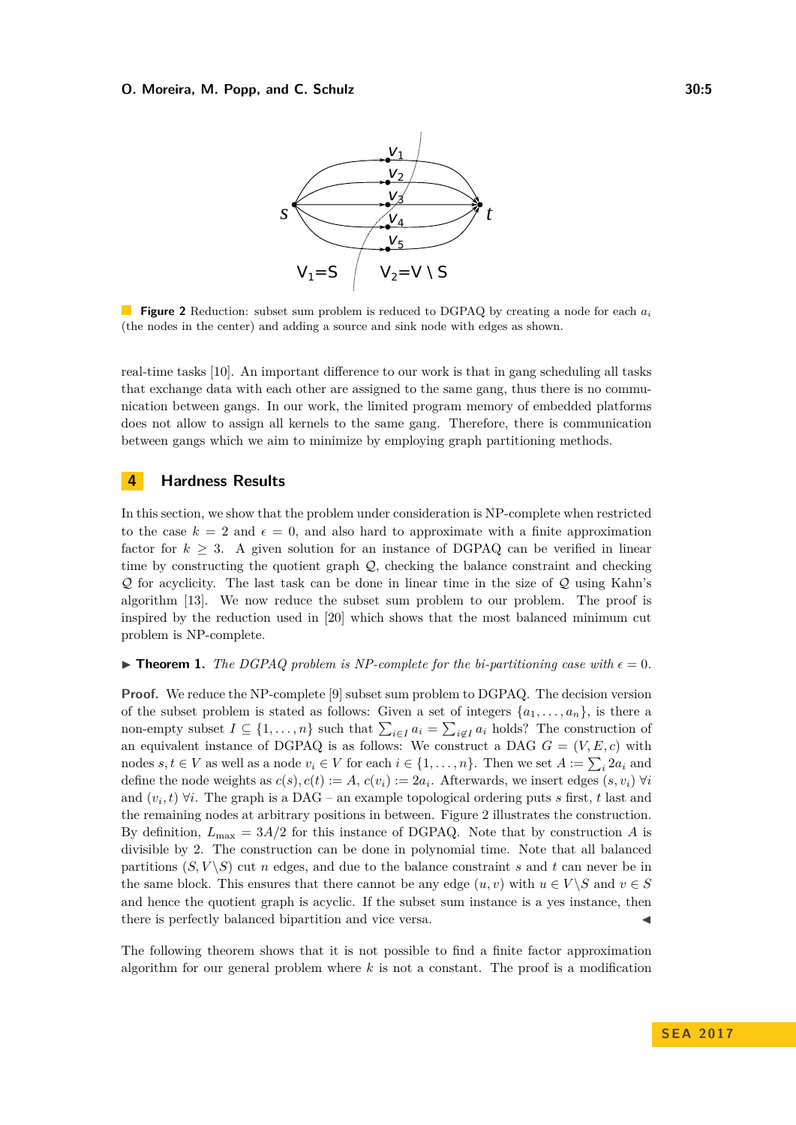#### <span id="page-4-1"></span>**O. Moreira, M. Popp, and C. Schulz 30:5 30:5 30:5**



**Figure 2** Reduction: subset sum problem is reduced to DGPAQ by creating a node for each *a<sup>i</sup>* (the nodes in the center) and adding a source and sink node with edges as shown.

real-time tasks [\[10\]](#page-13-14). An important difference to our work is that in gang scheduling all tasks that exchange data with each other are assigned to the same gang, thus there is no communication between gangs. In our work, the limited program memory of embedded platforms does not allow to assign all kernels to the same gang. Therefore, there is communication between gangs which we aim to minimize by employing graph partitioning methods.

### <span id="page-4-0"></span>**4 Hardness Results**

In this section, we show that the problem under consideration is NP-complete when restricted to the case  $k = 2$  and  $\epsilon = 0$ , and also hard to approximate with a finite approximation factor for  $k \geq 3$ . A given solution for an instance of DGPAQ can be verified in linear time by constructing the quotient graph  $\mathcal{Q}$ , checking the balance constraint and checking  $Q$  for acyclicity. The last task can be done in linear time in the size of  $Q$  using Kahn's algorithm [\[13\]](#page-13-15). We now reduce the subset sum problem to our problem. The proof is inspired by the reduction used in [\[20\]](#page-13-16) which shows that the most balanced minimum cut problem is NP-complete.

### **Theorem 1.** *The DGPAQ problem is NP-complete for the bi-partitioning case with*  $\epsilon = 0$ *.*

**Proof.** We reduce the NP-complete [\[9\]](#page-13-17) subset sum problem to DGPAQ. The decision version of the subset problem is stated as follows: Given a set of integers  $\{a_1, \ldots, a_n\}$ , is there a non-empty subset  $I \subseteq \{1, \ldots, n\}$  such that  $\sum_{i \in I} a_i = \sum_{i \notin I} a_i$  holds? The construction of an equivalent instance of DGPAQ is as follows: We construct a DAG  $G = (V, E, c)$  with nodes  $s, t \in V$  as well as a node  $v_i \in V$  for each  $i \in \{1, ..., n\}$ . Then we set  $A := \sum_i 2a_i$  and define the node weights as  $c(s)$ ,  $c(t) := A$ ,  $c(v_i) := 2a_i$ . Afterwards, we insert edges  $(s, v_i)$   $\forall i$ and  $(v_i, t)$   $\forall i$ . The graph is a DAG – an example topological ordering puts *s* first, *t* last and the remaining nodes at arbitrary positions in between. Figure [2](#page-4-1) illustrates the construction. By definition,  $L_{\text{max}} = 3A/2$  for this instance of DGPAQ. Note that by construction *A* is divisible by 2. The construction can be done in polynomial time. Note that all balanced partitions  $(S, V \ S)$  cut *n* edges, and due to the balance constraint *s* and *t* can never be in the same block. This ensures that there cannot be any edge  $(u, v)$  with  $u \in V \backslash S$  and  $v \in S$ and hence the quotient graph is acyclic. If the subset sum instance is a yes instance, then there is perfectly balanced bipartition and vice versa.

The following theorem shows that it is not possible to find a finite factor approximation algorithm for our general problem where *k* is not a constant. The proof is a modification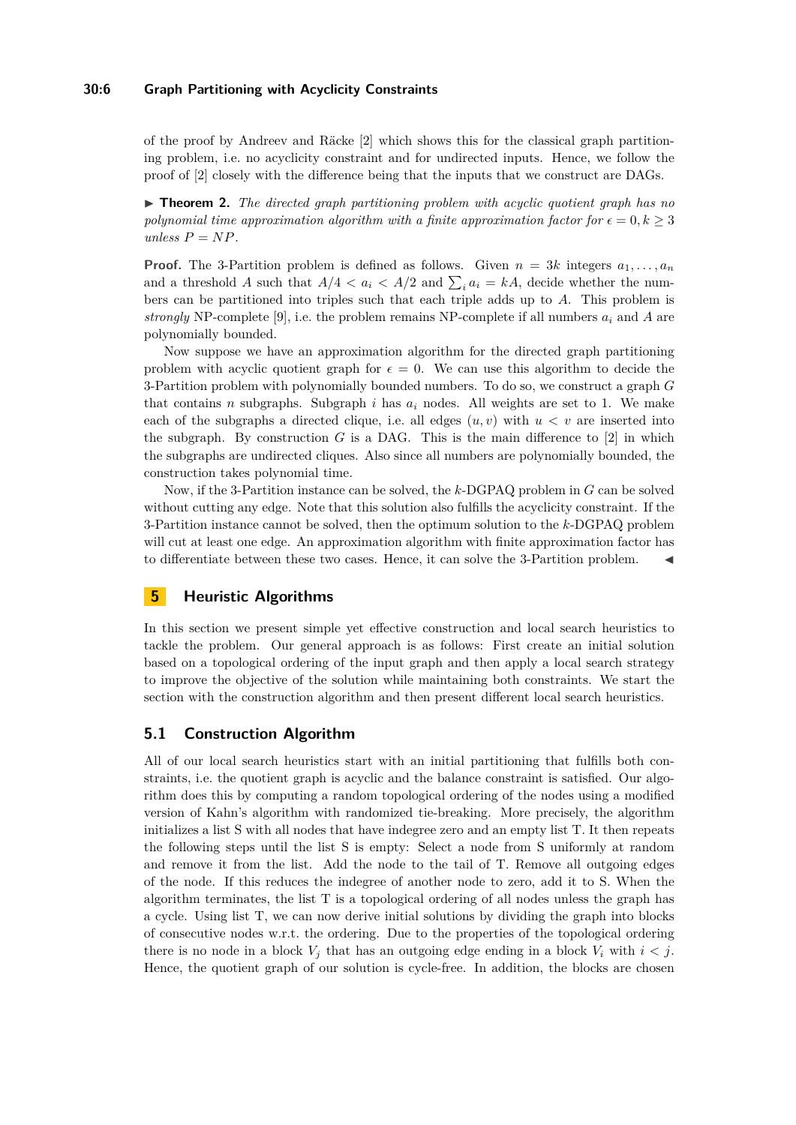#### **30:6 Graph Partitioning with Acyclicity Constraints**

of the proof by Andreev and Räcke [\[2\]](#page-13-18) which shows this for the classical graph partitioning problem, i.e. no acyclicity constraint and for undirected inputs. Hence, we follow the proof of [\[2\]](#page-13-18) closely with the difference being that the inputs that we construct are DAGs.

I **Theorem 2.** *The directed graph partitioning problem with acyclic quotient graph has no polynomial time approximation algorithm with a finite approximation factor for*  $\epsilon = 0, k \geq 3$  $unless P = NP$ .

**Proof.** The 3-Partition problem is defined as follows. Given  $n = 3k$  integers  $a_1, \ldots, a_n$ and a threshold *A* such that  $A/4 < a_i < A/2$  and  $\sum_i a_i = kA$ , decide whether the numbers can be partitioned into triples such that each triple adds up to *A*. This problem is *strongly* NP-complete [\[9\]](#page-13-17), i.e. the problem remains NP-complete if all numbers  $a_i$  and A are polynomially bounded.

Now suppose we have an approximation algorithm for the directed graph partitioning problem with acyclic quotient graph for  $\epsilon = 0$ . We can use this algorithm to decide the 3-Partition problem with polynomially bounded numbers. To do so, we construct a graph *G* that contains *n* subgraphs. Subgraph *i* has  $a_i$  nodes. All weights are set to 1. We make each of the subgraphs a directed clique, i.e. all edges  $(u, v)$  with  $u < v$  are inserted into the subgraph. By construction  $G$  is a DAG. This is the main difference to  $[2]$  in which the subgraphs are undirected cliques. Also since all numbers are polynomially bounded, the construction takes polynomial time.

Now, if the 3-Partition instance can be solved, the *k*-DGPAQ problem in *G* can be solved without cutting any edge. Note that this solution also fulfills the acyclicity constraint. If the 3-Partition instance cannot be solved, then the optimum solution to the *k*-DGPAQ problem will cut at least one edge. An approximation algorithm with finite approximation factor has to differentiate between these two cases. Hence, it can solve the 3-Partition problem.

# <span id="page-5-0"></span>**5 Heuristic Algorithms**

In this section we present simple yet effective construction and local search heuristics to tackle the problem. Our general approach is as follows: First create an initial solution based on a topological ordering of the input graph and then apply a local search strategy to improve the objective of the solution while maintaining both constraints. We start the section with the construction algorithm and then present different local search heuristics.

# **5.1 Construction Algorithm**

All of our local search heuristics start with an initial partitioning that fulfills both constraints, i.e. the quotient graph is acyclic and the balance constraint is satisfied. Our algorithm does this by computing a random topological ordering of the nodes using a modified version of Kahn's algorithm with randomized tie-breaking. More precisely, the algorithm initializes a list S with all nodes that have indegree zero and an empty list T. It then repeats the following steps until the list S is empty: Select a node from S uniformly at random and remove it from the list. Add the node to the tail of T. Remove all outgoing edges of the node. If this reduces the indegree of another node to zero, add it to S. When the algorithm terminates, the list T is a topological ordering of all nodes unless the graph has a cycle. Using list T, we can now derive initial solutions by dividing the graph into blocks of consecutive nodes w.r.t. the ordering. Due to the properties of the topological ordering there is no node in a block  $V_j$  that has an outgoing edge ending in a block  $V_i$  with  $i < j$ . Hence, the quotient graph of our solution is cycle-free. In addition, the blocks are chosen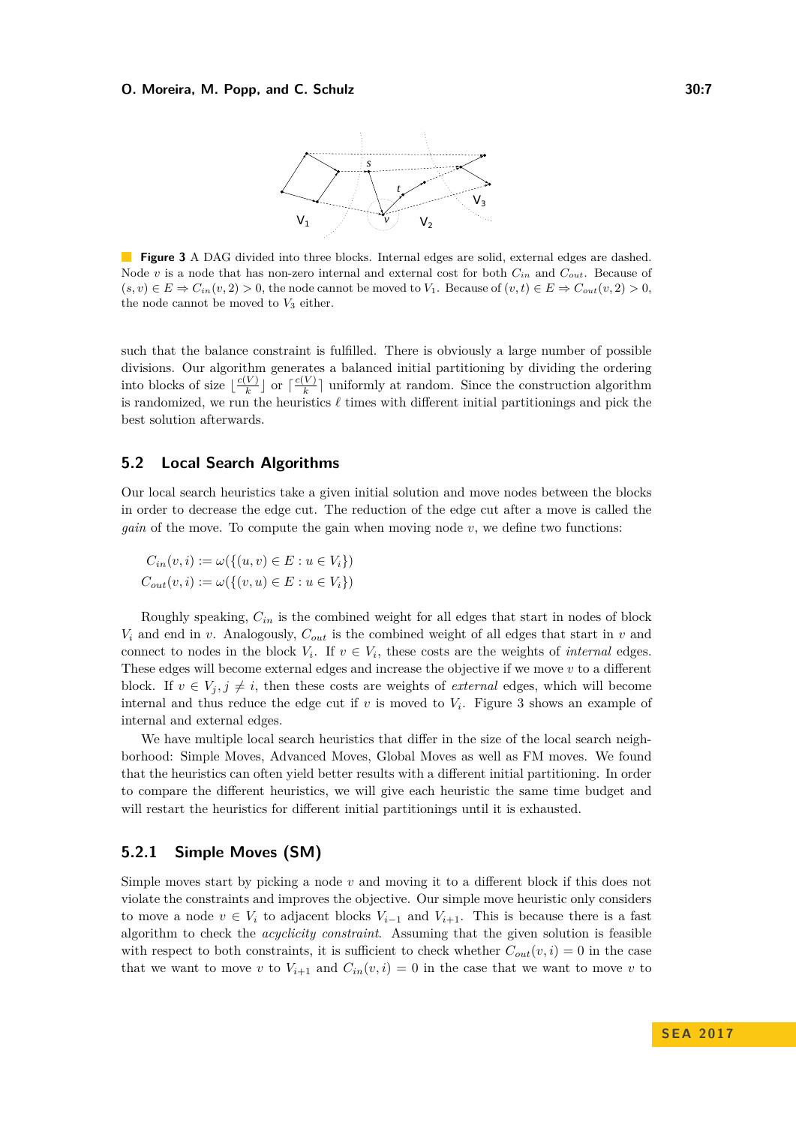#### <span id="page-6-0"></span>**O. Moreira, M. Popp, and C. Schulz 30:7 30:7 30:7**



**Figure 3** A DAG divided into three blocks. Internal edges are solid, external edges are dashed. Node *v* is a node that has non-zero internal and external cost for both *Cin* and *Cout*. Because of  $(s, v) \in E \Rightarrow C_{in}(v, 2) > 0$ , the node cannot be moved to  $V_1$ . Because of  $(v, t) \in E \Rightarrow C_{out}(v, 2) > 0$ , the node cannot be moved to *V*<sup>3</sup> either.

such that the balance constraint is fulfilled. There is obviously a large number of possible divisions. Our algorithm generates a balanced initial partitioning by dividing the ordering into blocks of size  $\lfloor \frac{c(V)}{k} \rfloor$  $\left[\frac{V}{k}\right]$  or  $\left[\frac{c(V)}{k}\right]$  $\frac{V}{k}$  uniformly at random. Since the construction algorithm is randomized, we run the heuristics  $\ell$  times with different initial partitionings and pick the best solution afterwards.

### **5.2 Local Search Algorithms**

Our local search heuristics take a given initial solution and move nodes between the blocks in order to decrease the edge cut. The reduction of the edge cut after a move is called the *gain* of the move. To compute the gain when moving node  $v$ , we define two functions:

$$
C_{in}(v,i) := \omega(\{(u,v) \in E : u \in V_i\})
$$
  

$$
C_{out}(v,i) := \omega(\{(v,u) \in E : u \in V_i\})
$$

Roughly speaking, *Cin* is the combined weight for all edges that start in nodes of block  $V_i$  and end in *v*. Analogously,  $C_{out}$  is the combined weight of all edges that start in *v* and connect to nodes in the block  $V_i$ . If  $v \in V_i$ , these costs are the weights of *internal* edges. These edges will become external edges and increase the objective if we move *v* to a different block. If  $v \in V_j$ ,  $j \neq i$ , then these costs are weights of *external* edges, which will become internal and thus reduce the edge cut if  $v$  is moved to  $V_i$ . Figure [3](#page-6-0) shows an example of internal and external edges.

We have multiple local search heuristics that differ in the size of the local search neighborhood: Simple Moves, Advanced Moves, Global Moves as well as FM moves. We found that the heuristics can often yield better results with a different initial partitioning. In order to compare the different heuristics, we will give each heuristic the same time budget and will restart the heuristics for different initial partitionings until it is exhausted.

# **5.2.1 Simple Moves (SM)**

Simple moves start by picking a node *v* and moving it to a different block if this does not violate the constraints and improves the objective. Our simple move heuristic only considers to move a node  $v \in V_i$  to adjacent blocks  $V_{i-1}$  and  $V_{i+1}$ . This is because there is a fast algorithm to check the *acyclicity constraint*. Assuming that the given solution is feasible with respect to both constraints, it is sufficient to check whether  $C_{out}(v, i) = 0$  in the case that we want to move *v* to  $V_{i+1}$  and  $C_{in}(v, i) = 0$  in the case that we want to move *v* to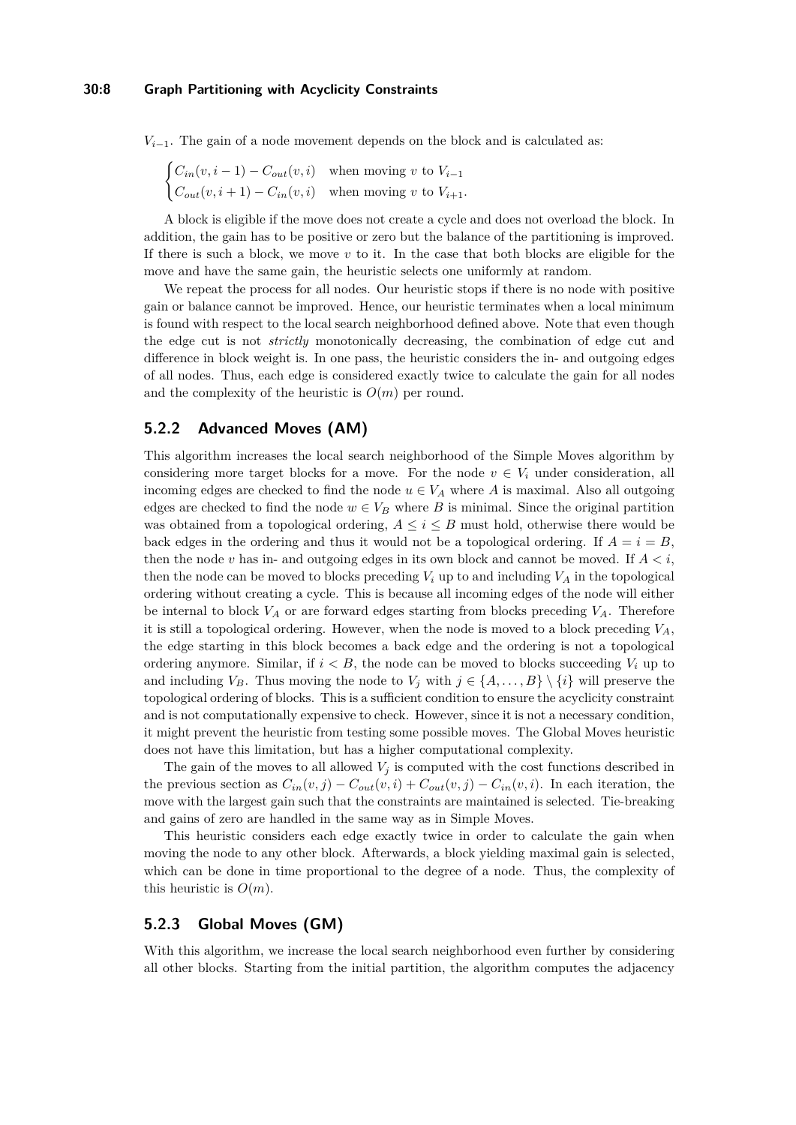#### **30:8 Graph Partitioning with Acyclicity Constraints**

 $V_{i-1}$ . The gain of a node movement depends on the block and is calculated as:

$$
\begin{cases} C_{in}(v, i-1) - C_{out}(v, i) & \text{when moving } v \text{ to } V_{i-1} \\ C_{out}(v, i+1) - C_{in}(v, i) & \text{when moving } v \text{ to } V_{i+1}. \end{cases}
$$

A block is eligible if the move does not create a cycle and does not overload the block. In addition, the gain has to be positive or zero but the balance of the partitioning is improved. If there is such a block, we move  $v$  to it. In the case that both blocks are eligible for the move and have the same gain, the heuristic selects one uniformly at random.

We repeat the process for all nodes. Our heuristic stops if there is no node with positive gain or balance cannot be improved. Hence, our heuristic terminates when a local minimum is found with respect to the local search neighborhood defined above. Note that even though the edge cut is not *strictly* monotonically decreasing, the combination of edge cut and difference in block weight is. In one pass, the heuristic considers the in- and outgoing edges of all nodes. Thus, each edge is considered exactly twice to calculate the gain for all nodes and the complexity of the heuristic is  $O(m)$  per round.

### **5.2.2 Advanced Moves (AM)**

This algorithm increases the local search neighborhood of the Simple Moves algorithm by considering more target blocks for a move. For the node  $v \in V_i$  under consideration, all incoming edges are checked to find the node  $u \in V_A$  where *A* is maximal. Also all outgoing edges are checked to find the node  $w \in V_B$  where *B* is minimal. Since the original partition was obtained from a topological ordering,  $A \leq i \leq B$  must hold, otherwise there would be back edges in the ordering and thus it would not be a topological ordering. If  $A = i = B$ , then the node *v* has in- and outgoing edges in its own block and cannot be moved. If  $A \lt i$ , then the node can be moved to blocks preceding  $V_i$  up to and including  $V_A$  in the topological ordering without creating a cycle. This is because all incoming edges of the node will either be internal to block  $V_A$  or are forward edges starting from blocks preceding  $V_A$ . Therefore it is still a topological ordering. However, when the node is moved to a block preceding *VA*, the edge starting in this block becomes a back edge and the ordering is not a topological ordering anymore. Similar, if  $i < B$ , the node can be moved to blocks succeeding  $V_i$  up to and including  $V_B$ . Thus moving the node to  $V_j$  with  $j \in \{A, \ldots, B\} \setminus \{i\}$  will preserve the topological ordering of blocks. This is a sufficient condition to ensure the acyclicity constraint and is not computationally expensive to check. However, since it is not a necessary condition, it might prevent the heuristic from testing some possible moves. The Global Moves heuristic does not have this limitation, but has a higher computational complexity.

The gain of the moves to all allowed  $V_i$  is computed with the cost functions described in the previous section as  $C_{in}(v, j) - C_{out}(v, i) + C_{out}(v, j) - C_{in}(v, i)$ . In each iteration, the move with the largest gain such that the constraints are maintained is selected. Tie-breaking and gains of zero are handled in the same way as in Simple Moves.

This heuristic considers each edge exactly twice in order to calculate the gain when moving the node to any other block. Afterwards, a block yielding maximal gain is selected, which can be done in time proportional to the degree of a node. Thus, the complexity of this heuristic is  $O(m)$ .

### **5.2.3 Global Moves (GM)**

With this algorithm, we increase the local search neighborhood even further by considering all other blocks. Starting from the initial partition, the algorithm computes the adjacency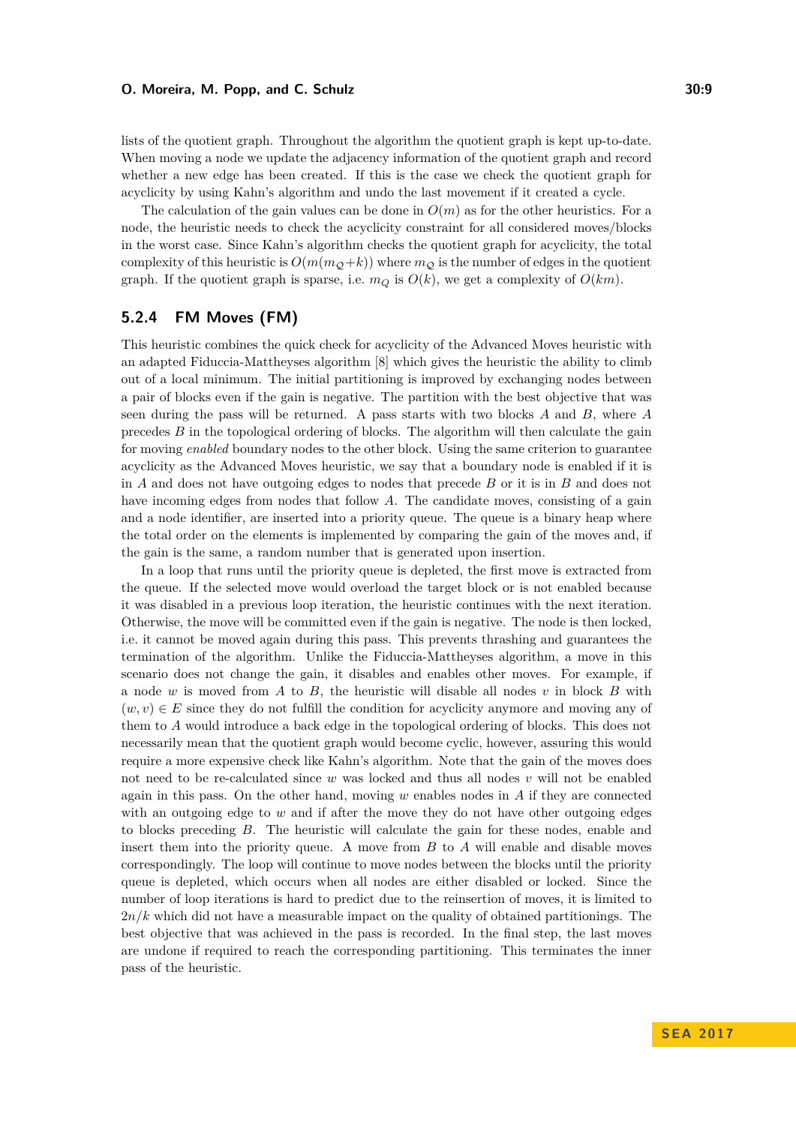#### **O. Moreira, M. Popp, and C. Schulz 30:9 30:9 30:9 30:9**

lists of the quotient graph. Throughout the algorithm the quotient graph is kept up-to-date. When moving a node we update the adjacency information of the quotient graph and record whether a new edge has been created. If this is the case we check the quotient graph for acyclicity by using Kahn's algorithm and undo the last movement if it created a cycle.

The calculation of the gain values can be done in  $O(m)$  as for the other heuristics. For a node, the heuristic needs to check the acyclicity constraint for all considered moves/blocks in the worst case. Since Kahn's algorithm checks the quotient graph for acyclicity, the total complexity of this heuristic is  $O(m(m_Q+k))$  where  $m_Q$  is the number of edges in the quotient graph. If the quotient graph is sparse, i.e.  $m_Q$  is  $O(k)$ , we get a complexity of  $O(km)$ .

# **5.2.4 FM Moves (FM)**

This heuristic combines the quick check for acyclicity of the Advanced Moves heuristic with an adapted Fiduccia-Mattheyses algorithm [\[8\]](#page-13-19) which gives the heuristic the ability to climb out of a local minimum. The initial partitioning is improved by exchanging nodes between a pair of blocks even if the gain is negative. The partition with the best objective that was seen during the pass will be returned. A pass starts with two blocks *A* and *B*, where *A* precedes *B* in the topological ordering of blocks. The algorithm will then calculate the gain for moving *enabled* boundary nodes to the other block. Using the same criterion to guarantee acyclicity as the Advanced Moves heuristic, we say that a boundary node is enabled if it is in *A* and does not have outgoing edges to nodes that precede *B* or it is in *B* and does not have incoming edges from nodes that follow *A*. The candidate moves, consisting of a gain and a node identifier, are inserted into a priority queue. The queue is a binary heap where the total order on the elements is implemented by comparing the gain of the moves and, if the gain is the same, a random number that is generated upon insertion.

In a loop that runs until the priority queue is depleted, the first move is extracted from the queue. If the selected move would overload the target block or is not enabled because it was disabled in a previous loop iteration, the heuristic continues with the next iteration. Otherwise, the move will be committed even if the gain is negative. The node is then locked, i.e. it cannot be moved again during this pass. This prevents thrashing and guarantees the termination of the algorithm. Unlike the Fiduccia-Mattheyses algorithm, a move in this scenario does not change the gain, it disables and enables other moves. For example, if a node *w* is moved from *A* to *B*, the heuristic will disable all nodes *v* in block *B* with  $(w, v) \in E$  since they do not fulfill the condition for acyclicity anymore and moving any of them to *A* would introduce a back edge in the topological ordering of blocks. This does not necessarily mean that the quotient graph would become cyclic, however, assuring this would require a more expensive check like Kahn's algorithm. Note that the gain of the moves does not need to be re-calculated since *w* was locked and thus all nodes *v* will not be enabled again in this pass. On the other hand, moving *w* enables nodes in *A* if they are connected with an outgoing edge to *w* and if after the move they do not have other outgoing edges to blocks preceding *B*. The heuristic will calculate the gain for these nodes, enable and insert them into the priority queue. A move from *B* to *A* will enable and disable moves correspondingly. The loop will continue to move nodes between the blocks until the priority queue is depleted, which occurs when all nodes are either disabled or locked. Since the number of loop iterations is hard to predict due to the reinsertion of moves, it is limited to 2*n/k* which did not have a measurable impact on the quality of obtained partitionings. The best objective that was achieved in the pass is recorded. In the final step, the last moves are undone if required to reach the corresponding partitioning. This terminates the inner pass of the heuristic.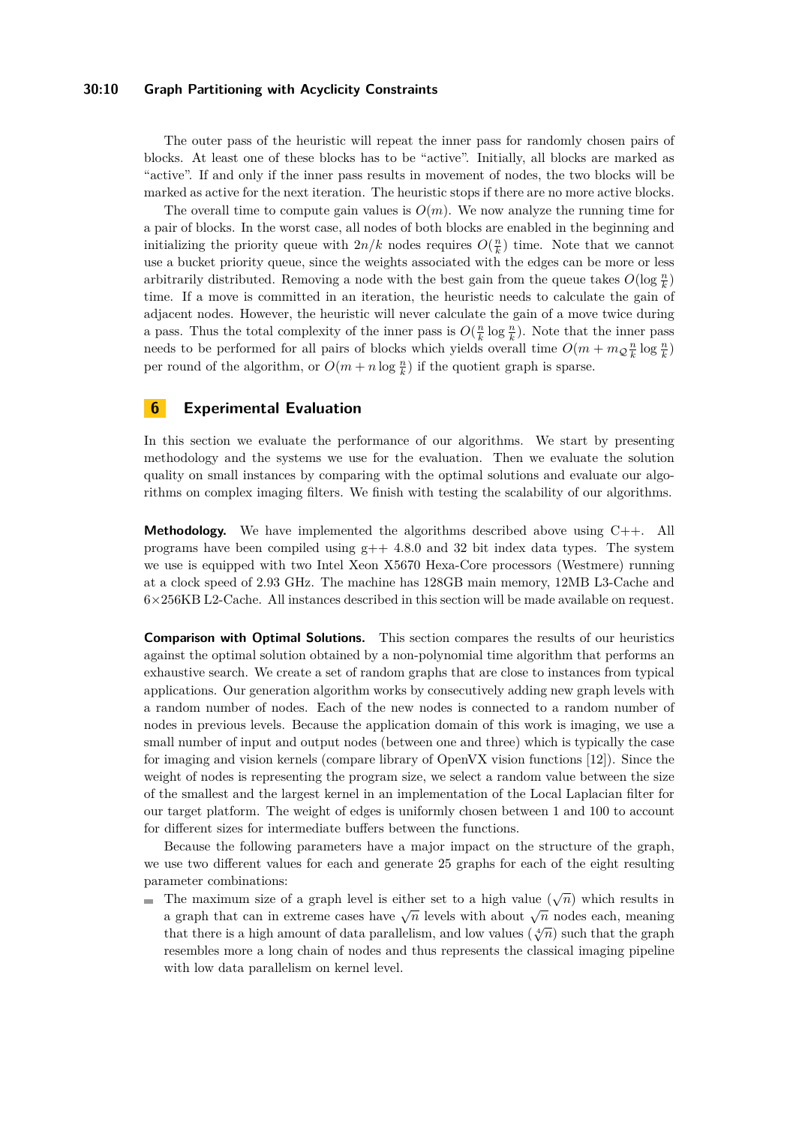#### **30:10 Graph Partitioning with Acyclicity Constraints**

The outer pass of the heuristic will repeat the inner pass for randomly chosen pairs of blocks. At least one of these blocks has to be "active". Initially, all blocks are marked as "active". If and only if the inner pass results in movement of nodes, the two blocks will be marked as active for the next iteration. The heuristic stops if there are no more active blocks.

The overall time to compute gain values is  $O(m)$ . We now analyze the running time for a pair of blocks. In the worst case, all nodes of both blocks are enabled in the beginning and initializing the priority queue with  $2n/k$  nodes requires  $O(\frac{n}{k})$  time. Note that we cannot use a bucket priority queue, since the weights associated with the edges can be more or less arbitrarily distributed. Removing a node with the best gain from the queue takes  $O(\log \frac{n}{k})$ time. If a move is committed in an iteration, the heuristic needs to calculate the gain of adjacent nodes. However, the heuristic will never calculate the gain of a move twice during a pass. Thus the total complexity of the inner pass is  $O(\frac{n}{k} \log \frac{n}{k})$ . Note that the inner pass needs to be performed for all pairs of blocks which yields overall time  $O(m + m_Q \frac{n}{k} \log \frac{n}{k})$ per round of the algorithm, or  $O(m + n \log \frac{n}{k})$  if the quotient graph is sparse.

# <span id="page-9-0"></span>**6 Experimental Evaluation**

In this section we evaluate the performance of our algorithms. We start by presenting methodology and the systems we use for the evaluation. Then we evaluate the solution quality on small instances by comparing with the optimal solutions and evaluate our algorithms on complex imaging filters. We finish with testing the scalability of our algorithms.

**Methodology.** We have implemented the algorithms described above using  $C_{++}$ . All programs have been compiled using  $g++ 4.8.0$  and 32 bit index data types. The system we use is equipped with two Intel Xeon X5670 Hexa-Core processors (Westmere) running at a clock speed of 2.93 GHz. The machine has 128GB main memory, 12MB L3-Cache and 6×256KB L2-Cache. All instances described in this section will be made available on request.

**Comparison with Optimal Solutions.** This section compares the results of our heuristics against the optimal solution obtained by a non-polynomial time algorithm that performs an exhaustive search. We create a set of random graphs that are close to instances from typical applications. Our generation algorithm works by consecutively adding new graph levels with a random number of nodes. Each of the new nodes is connected to a random number of nodes in previous levels. Because the application domain of this work is imaging, we use a small number of input and output nodes (between one and three) which is typically the case for imaging and vision kernels (compare library of OpenVX vision functions [\[12\]](#page-13-20)). Since the weight of nodes is representing the program size, we select a random value between the size of the smallest and the largest kernel in an implementation of the Local Laplacian filter for our target platform. The weight of edges is uniformly chosen between 1 and 100 to account for different sizes for intermediate buffers between the functions.

Because the following parameters have a major impact on the structure of the graph, we use two different values for each and generate 25 graphs for each of the eight resulting parameter combinations:

The maximum size of a graph level is either set to a high value  $(\sqrt{n})$  which results in a graph that can in extreme cases have  $\sqrt{n}$  levels with about  $\sqrt{n}$  nodes each, meaning that there is a high amount of data parallelism, and low values  $(\sqrt[4]{n})$  such that the graph resembles more a long chain of nodes and thus represents the classical imaging pipeline with low data parallelism on kernel level.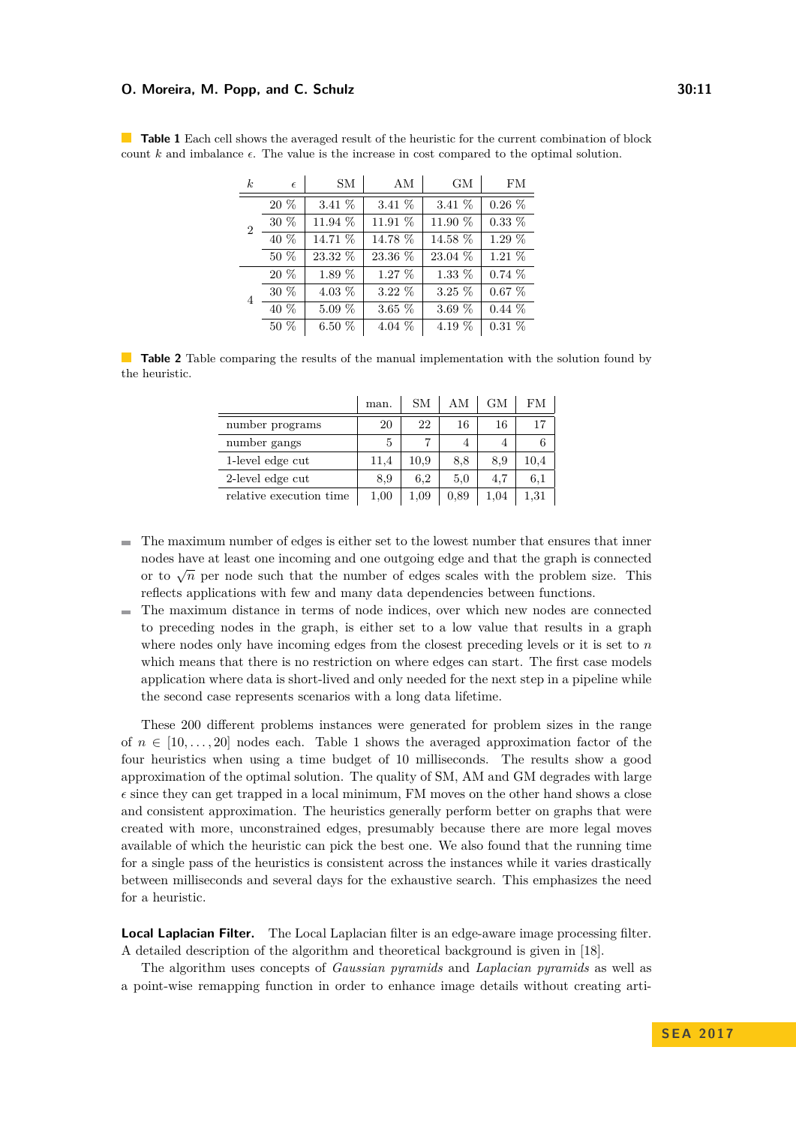#### **O. Moreira, M. Popp, and C. Schulz 30:11 30:11**

| $\boldsymbol{k}$ | $\epsilon$ | <b>SM</b> | AM        | <b>GM</b> | FM       |
|------------------|------------|-----------|-----------|-----------|----------|
| $\overline{2}$   | 20 %       | $3.41\%$  | $3.41\%$  | 3.41 %    | $0.26\%$ |
|                  | $30\%$     | 11.94 %   | 11.91 %   | 11.90 %   | $0.33\%$ |
|                  | 40 %       | 14.71 %   | 14.78 %   | 14.58 %   | $1.29\%$ |
|                  | $50\%$     | 23.32 %   | 23.36 %   | 23.04 %   | $1.21\%$ |
| 4                | 20 %       | $1.89~\%$ | $1.27\%$  | $1.33\%$  | $0.74\%$ |
|                  | $30\%$     | 4.03 %    | $3.22\%$  | $3.25\%$  | $0.67\%$ |
|                  | 40 %       | $5.09~\%$ | $3.65~\%$ | 3.69 %    | $0.44\%$ |
|                  | 50 %       | $6.50~\%$ | 4.04 $%$  | 4.19 %    | $0.31\%$ |

<span id="page-10-0"></span>**Table 1** Each cell shows the averaged result of the heuristic for the current combination of block count  $k$  and imbalance  $\epsilon$ . The value is the increase in cost compared to the optimal solution.

<span id="page-10-1"></span>**Table 2** Table comparing the results of the manual implementation with the solution found by the heuristic.

|                         | man. | <b>SM</b> | AM   | GМ   | FМ   |
|-------------------------|------|-----------|------|------|------|
| number programs         | 20   | 22        | 16   | 16   | 17   |
| number gangs            | 5    |           | 4    | 4    |      |
| 1-level edge cut        | 11,4 | 10.9      | 8.8  | 8,9  | 10.4 |
| 2-level edge cut        | 8,9  | 6.2       | 5.0  | 4.7  | 6,1  |
| relative execution time | 1,00 | 1,09      | 0.89 | 1,04 | 1.31 |

- The maximum number of edges is either set to the lowest number that ensures that inner  $\rightarrow$ nodes have at least one incoming and one outgoing edge and that the graph is connected or to  $\sqrt{n}$  per node such that the number of edges scales with the problem size. This reflects applications with few and many data dependencies between functions.
- The maximum distance in terms of node indices, over which new nodes are connected to preceding nodes in the graph, is either set to a low value that results in a graph where nodes only have incoming edges from the closest preceding levels or it is set to *n* which means that there is no restriction on where edges can start. The first case models application where data is short-lived and only needed for the next step in a pipeline while the second case represents scenarios with a long data lifetime.

These 200 different problems instances were generated for problem sizes in the range of  $n \in [10, \ldots, 20]$  nodes each. Table [1](#page-10-0) shows the averaged approximation factor of the four heuristics when using a time budget of 10 milliseconds. The results show a good approximation of the optimal solution. The quality of SM, AM and GM degrades with large  $\epsilon$  since they can get trapped in a local minimum, FM moves on the other hand shows a close and consistent approximation. The heuristics generally perform better on graphs that were created with more, unconstrained edges, presumably because there are more legal moves available of which the heuristic can pick the best one. We also found that the running time for a single pass of the heuristics is consistent across the instances while it varies drastically between milliseconds and several days for the exhaustive search. This emphasizes the need for a heuristic.

**Local Laplacian Filter.** The Local Laplacian filter is an edge-aware image processing filter. A detailed description of the algorithm and theoretical background is given in [\[18\]](#page-13-3).

The algorithm uses concepts of *Gaussian pyramids* and *Laplacian pyramids* as well as a point-wise remapping function in order to enhance image details without creating arti-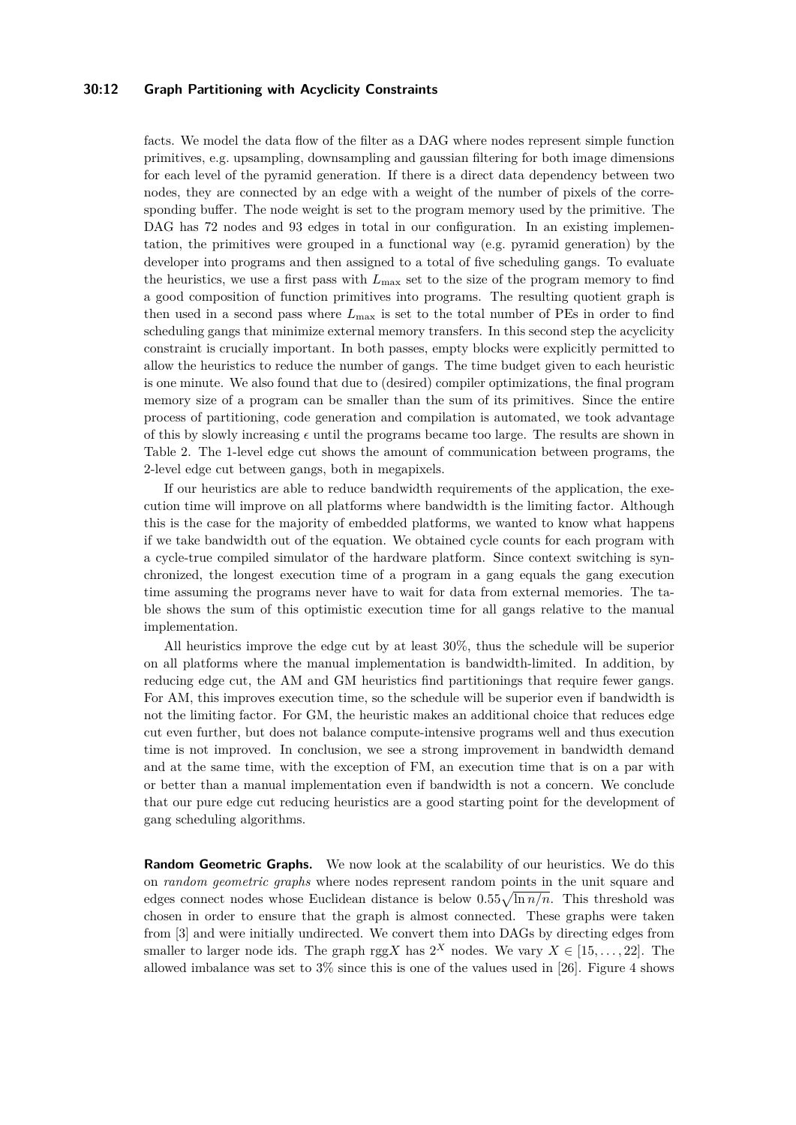#### **30:12 Graph Partitioning with Acyclicity Constraints**

facts. We model the data flow of the filter as a DAG where nodes represent simple function primitives, e.g. upsampling, downsampling and gaussian filtering for both image dimensions for each level of the pyramid generation. If there is a direct data dependency between two nodes, they are connected by an edge with a weight of the number of pixels of the corresponding buffer. The node weight is set to the program memory used by the primitive. The DAG has 72 nodes and 93 edges in total in our configuration. In an existing implementation, the primitives were grouped in a functional way (e.g. pyramid generation) by the developer into programs and then assigned to a total of five scheduling gangs. To evaluate the heuristics, we use a first pass with *L*max set to the size of the program memory to find a good composition of function primitives into programs. The resulting quotient graph is then used in a second pass where *L*max is set to the total number of PEs in order to find scheduling gangs that minimize external memory transfers. In this second step the acyclicity constraint is crucially important. In both passes, empty blocks were explicitly permitted to allow the heuristics to reduce the number of gangs. The time budget given to each heuristic is one minute. We also found that due to (desired) compiler optimizations, the final program memory size of a program can be smaller than the sum of its primitives. Since the entire process of partitioning, code generation and compilation is automated, we took advantage of this by slowly increasing  $\epsilon$  until the programs became too large. The results are shown in Table [2.](#page-10-1) The 1-level edge cut shows the amount of communication between programs, the 2-level edge cut between gangs, both in megapixels.

If our heuristics are able to reduce bandwidth requirements of the application, the execution time will improve on all platforms where bandwidth is the limiting factor. Although this is the case for the majority of embedded platforms, we wanted to know what happens if we take bandwidth out of the equation. We obtained cycle counts for each program with a cycle-true compiled simulator of the hardware platform. Since context switching is synchronized, the longest execution time of a program in a gang equals the gang execution time assuming the programs never have to wait for data from external memories. The table shows the sum of this optimistic execution time for all gangs relative to the manual implementation.

All heuristics improve the edge cut by at least 30%, thus the schedule will be superior on all platforms where the manual implementation is bandwidth-limited. In addition, by reducing edge cut, the AM and GM heuristics find partitionings that require fewer gangs. For AM, this improves execution time, so the schedule will be superior even if bandwidth is not the limiting factor. For GM, the heuristic makes an additional choice that reduces edge cut even further, but does not balance compute-intensive programs well and thus execution time is not improved. In conclusion, we see a strong improvement in bandwidth demand and at the same time, with the exception of FM, an execution time that is on a par with or better than a manual implementation even if bandwidth is not a concern. We conclude that our pure edge cut reducing heuristics are a good starting point for the development of gang scheduling algorithms.

**Random Geometric Graphs.** We now look at the scalability of our heuristics. We do this on *random geometric graphs* where nodes represent random points in the unit square and edges connect nodes whose Euclidean distance is below  $0.55\sqrt{\ln n/n}$ . This threshold was chosen in order to ensure that the graph is almost connected. These graphs were taken from [\[3\]](#page-13-21) and were initially undirected. We convert them into DAGs by directing edges from smaller to larger node ids. The graph rgg*X* has  $2^X$  nodes. We vary  $X \in [15, \ldots, 22]$ . The allowed imbalance was set to 3% since this is one of the values used in [\[26\]](#page-14-5). Figure [4](#page-12-1) shows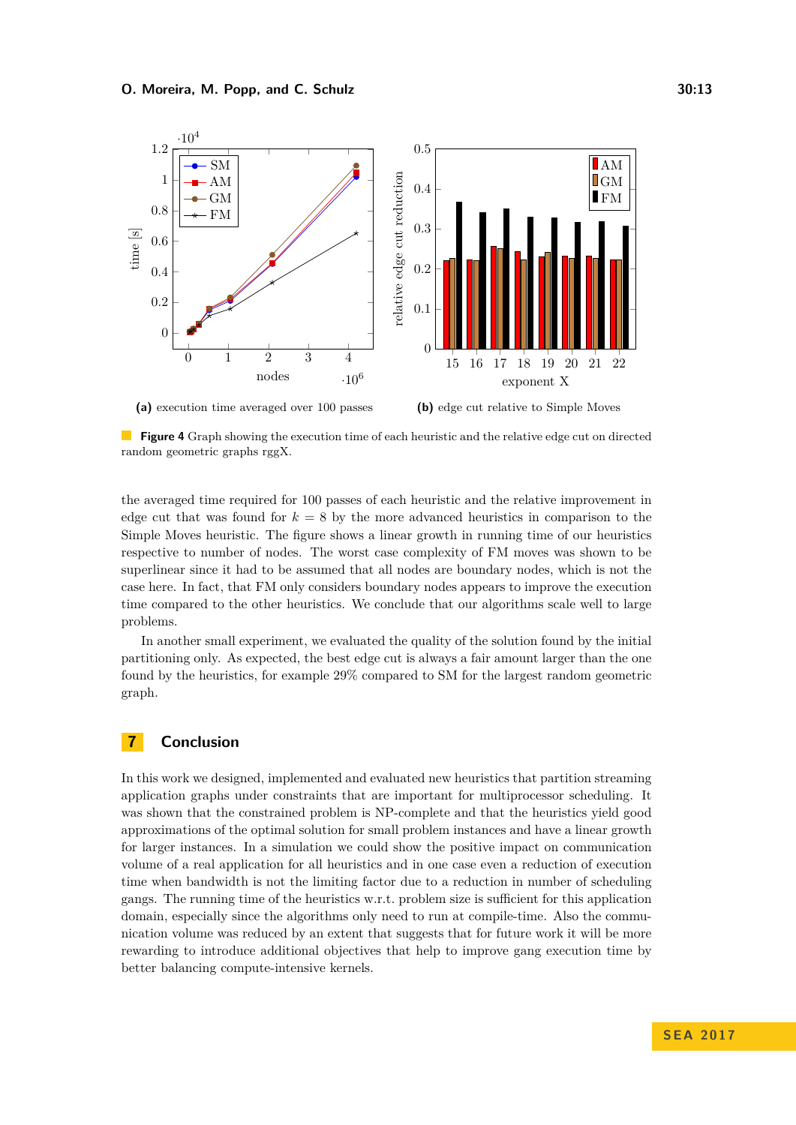**O. Moreira, M. Popp, and C. Schulz 30:13** 

<span id="page-12-1"></span>

**Figure 4** Graph showing the execution time of each heuristic and the relative edge cut on directed random geometric graphs rggX.

the averaged time required for 100 passes of each heuristic and the relative improvement in edge cut that was found for  $k = 8$  by the more advanced heuristics in comparison to the Simple Moves heuristic. The figure shows a linear growth in running time of our heuristics respective to number of nodes. The worst case complexity of FM moves was shown to be superlinear since it had to be assumed that all nodes are boundary nodes, which is not the case here. In fact, that FM only considers boundary nodes appears to improve the execution time compared to the other heuristics. We conclude that our algorithms scale well to large problems.

In another small experiment, we evaluated the quality of the solution found by the initial partitioning only. As expected, the best edge cut is always a fair amount larger than the one found by the heuristics, for example 29% compared to SM for the largest random geometric graph.

# <span id="page-12-0"></span>**7 Conclusion**

In this work we designed, implemented and evaluated new heuristics that partition streaming application graphs under constraints that are important for multiprocessor scheduling. It was shown that the constrained problem is NP-complete and that the heuristics yield good approximations of the optimal solution for small problem instances and have a linear growth for larger instances. In a simulation we could show the positive impact on communication volume of a real application for all heuristics and in one case even a reduction of execution time when bandwidth is not the limiting factor due to a reduction in number of scheduling gangs. The running time of the heuristics w.r.t. problem size is sufficient for this application domain, especially since the algorithms only need to run at compile-time. Also the communication volume was reduced by an extent that suggests that for future work it will be more rewarding to introduce additional objectives that help to improve gang execution time by better balancing compute-intensive kernels.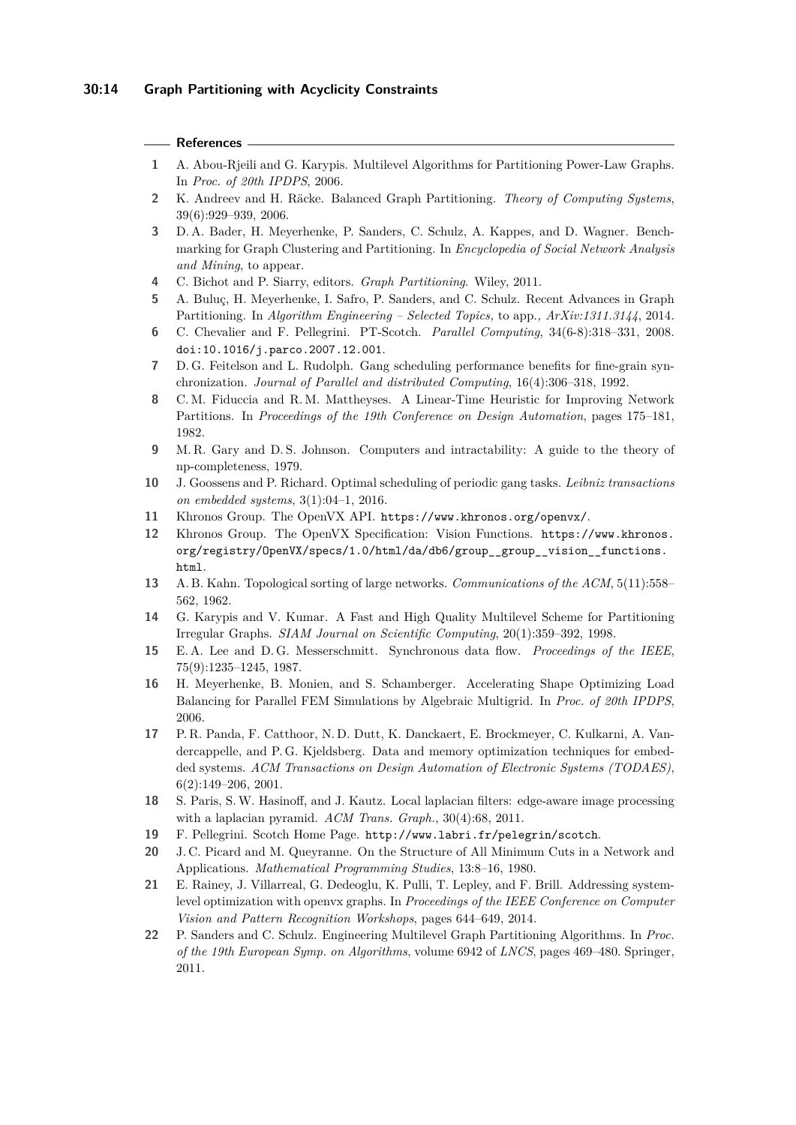### **References**

- <span id="page-13-10"></span>**1** A. Abou-Rjeili and G. Karypis. Multilevel Algorithms for Partitioning Power-Law Graphs. In *Proc. of 20th IPDPS*, 2006.
- <span id="page-13-18"></span>**2** K. Andreev and H. Räcke. Balanced Graph Partitioning. *Theory of Computing Systems*, 39(6):929–939, 2006.
- <span id="page-13-21"></span>**3** D. A. Bader, H. Meyerhenke, P. Sanders, C. Schulz, A. Kappes, and D. Wagner. Benchmarking for Graph Clustering and Partitioning. In *Encyclopedia of Social Network Analysis and Mining*, to appear.
- <span id="page-13-7"></span>**4** C. Bichot and P. Siarry, editors. *Graph Partitioning*. Wiley, 2011.
- <span id="page-13-5"></span>**5** A. Buluç, H. Meyerhenke, I. Safro, P. Sanders, and C. Schulz. Recent Advances in Graph Partitioning. In *Algorithm Engineering – Selected Topics,* to app.*, ArXiv:1311.3144*, 2014.
- <span id="page-13-13"></span>**6** C. Chevalier and F. Pellegrini. PT-Scotch. *Parallel Computing*, 34(6-8):318–331, 2008. [doi:10.1016/j.parco.2007.12.001](http://dx.doi.org/10.1016/j.parco.2007.12.001).
- <span id="page-13-4"></span>**7** D. G. Feitelson and L. Rudolph. Gang scheduling performance benefits for fine-grain synchronization. *Journal of Parallel and distributed Computing*, 16(4):306–318, 1992.
- <span id="page-13-19"></span>**8** C. M. Fiduccia and R. M. Mattheyses. A Linear-Time Heuristic for Improving Network Partitions. In *Proceedings of the 19th Conference on Design Automation*, pages 175–181, 1982.
- <span id="page-13-17"></span>**9** M. R. Gary and D. S. Johnson. Computers and intractability: A guide to the theory of np-completeness, 1979.
- <span id="page-13-14"></span>**10** J. Goossens and P. Richard. Optimal scheduling of periodic gang tasks. *Leibniz transactions on embedded systems*, 3(1):04–1, 2016.
- <span id="page-13-0"></span>**11** Khronos Group. The OpenVX API. <https://www.khronos.org/openvx/>.
- <span id="page-13-20"></span>**12** Khronos Group. The OpenVX Specification: Vision Functions. [https://www.khronos.](https://www.khronos.org/registry/OpenVX/specs/1.0/html/da/db6/group__group__vision__functions.html) [org/registry/OpenVX/specs/1.0/html/da/db6/group\\_\\_group\\_\\_vision\\_\\_functions.](https://www.khronos.org/registry/OpenVX/specs/1.0/html/da/db6/group__group__vision__functions.html) [html](https://www.khronos.org/registry/OpenVX/specs/1.0/html/da/db6/group__group__vision__functions.html).
- <span id="page-13-15"></span>**13** A. B. Kahn. Topological sorting of large networks. *Communications of the ACM*, 5(11):558– 562, 1962.
- <span id="page-13-8"></span>**14** G. Karypis and V. Kumar. A Fast and High Quality Multilevel Scheme for Partitioning Irregular Graphs. *SIAM Journal on Scientific Computing*, 20(1):359–392, 1998.
- <span id="page-13-2"></span>**15** E. A. Lee and D. G. Messerschmitt. Synchronous data flow. *Proceedings of the IEEE*, 75(9):1235–1245, 1987.
- <span id="page-13-11"></span>**16** H. Meyerhenke, B. Monien, and S. Schamberger. Accelerating Shape Optimizing Load Balancing for Parallel FEM Simulations by Algebraic Multigrid. In *Proc. of 20th IPDPS*, 2006.
- <span id="page-13-6"></span>**17** P. R. Panda, F. Catthoor, N. D. Dutt, K. Danckaert, E. Brockmeyer, C. Kulkarni, A. Vandercappelle, and P. G. Kjeldsberg. Data and memory optimization techniques for embedded systems. *ACM Transactions on Design Automation of Electronic Systems (TODAES)*, 6(2):149–206, 2001.
- <span id="page-13-3"></span>**18** S. Paris, S.W. Hasinoff, and J. Kautz. Local laplacian filters: edge-aware image processing with a laplacian pyramid. *ACM Trans. Graph.*, 30(4):68, 2011.
- <span id="page-13-9"></span>**19** F. Pellegrini. Scotch Home Page. [http://www.labri.fr/pelegrin/scotch](http://www. labri.fr/pelegrin/scotch).
- <span id="page-13-16"></span>**20** J. C. Picard and M. Queyranne. On the Structure of All Minimum Cuts in a Network and Applications. *Mathematical Programming Studies*, 13:8–16, 1980.
- <span id="page-13-1"></span>**21** E. Rainey, J. Villarreal, G. Dedeoglu, K. Pulli, T. Lepley, and F. Brill. Addressing systemlevel optimization with openvx graphs. In *Proceedings of the IEEE Conference on Computer Vision and Pattern Recognition Workshops*, pages 644–649, 2014.
- <span id="page-13-12"></span>**22** P. Sanders and C. Schulz. Engineering Multilevel Graph Partitioning Algorithms. In *Proc. of the 19th European Symp. on Algorithms*, volume 6942 of *LNCS*, pages 469–480. Springer, 2011.